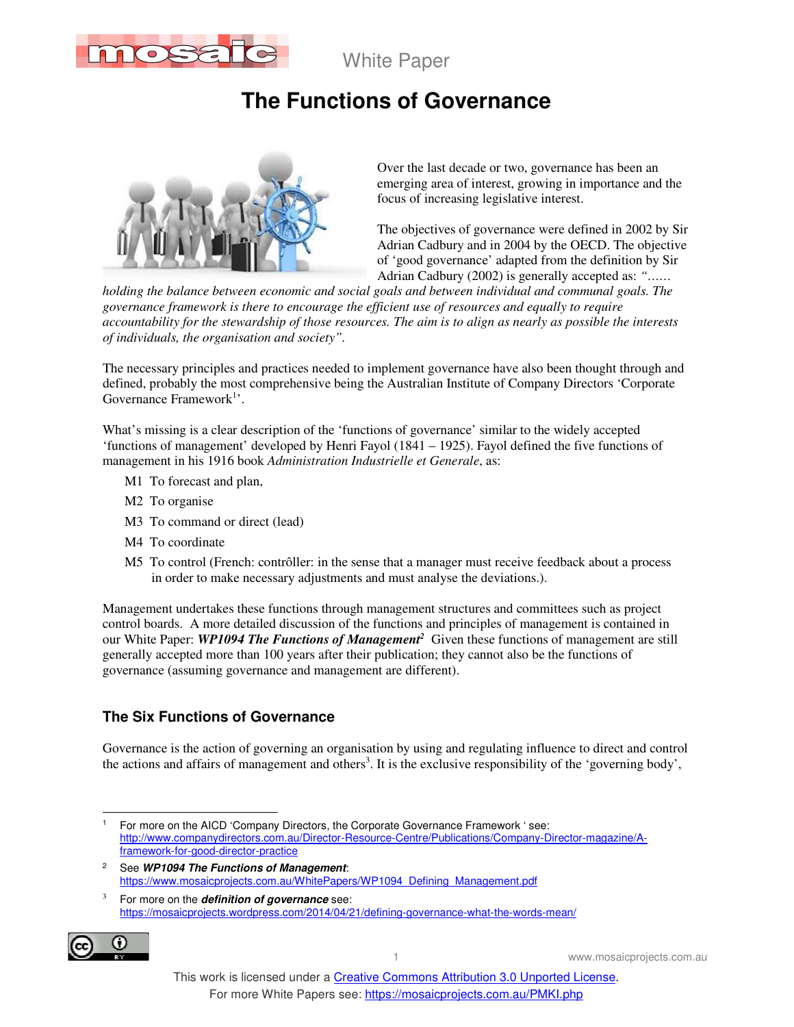

White Paper

# **The Functions of Governance**



Over the last decade or two, governance has been an emerging area of interest, growing in importance and the focus of increasing legislative interest.

The objectives of governance were defined in 2002 by Sir Adrian Cadbury and in 2004 by the OECD. The objective of 'good governance' adapted from the definition by Sir Adrian Cadbury (2002) is generally accepted as: *"……* 

*holding the balance between economic and social goals and between individual and communal goals. The governance framework is there to encourage the efficient use of resources and equally to require accountability for the stewardship of those resources. The aim is to align as nearly as possible the interests of individuals, the organisation and society".*

The necessary principles and practices needed to implement governance have also been thought through and defined, probably the most comprehensive being the Australian Institute of Company Directors 'Corporate Governance Framework<sup>1</sup>'.

What's missing is a clear description of the 'functions of governance' similar to the widely accepted 'functions of management' developed by Henri Fayol (1841 – 1925). Fayol defined the five functions of management in his 1916 book *Administration Industrielle et Generale*, as:

- M1 To forecast and plan,
- M2 To organise
- M3 To command or direct (lead)
- M4 To coordinate
- M5 To control (French: contrôller: in the sense that a manager must receive feedback about a process in order to make necessary adjustments and must analyse the deviations.).

Management undertakes these functions through management structures and committees such as project control boards. A more detailed discussion of the functions and principles of management is contained in our White Paper: *WP1094 The Functions of Management<sup>2</sup>* Given these functions of management are still generally accepted more than 100 years after their publication; they cannot also be the functions of governance (assuming governance and management are different).

### **The Six Functions of Governance**

Governance is the action of governing an organisation by using and regulating influence to direct and control the actions and affairs of management and others<sup>3</sup>. It is the exclusive responsibility of the 'governing body',

3 For more on the **definition of governance** see: https://mosaicprojects.wordpress.com/2014/04/21/defining-governance-what-the-words-mean/



 $\overline{a}$ 1 For more on the AICD 'Company Directors, the Corporate Governance Framework ' see: http://www.companydirectors.com.au/Director-Resource-Centre/Publications/Company-Director-magazine/Aframework-for-good-director-practice

<sup>2</sup> See **WP1094 The Functions of Management**: https://www.mosaicprojects.com.au/WhitePapers/WP1094\_Defining\_Management.pdf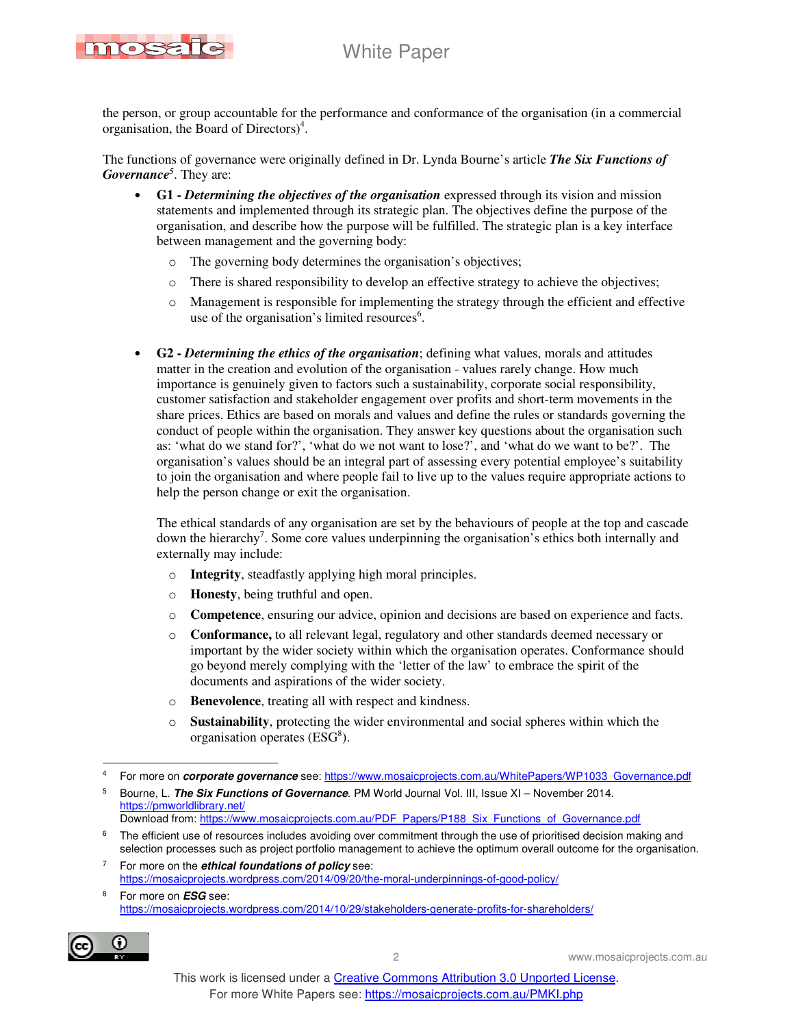## White Paper



the person, or group accountable for the performance and conformance of the organisation (in a commercial organisation, the Board of Directors)<sup>4</sup>.

The functions of governance were originally defined in Dr. Lynda Bourne's article *The Six Functions of Governance<sup>5</sup>* . They are:

- **G1** *Determining the objectives of the organisation* expressed through its vision and mission statements and implemented through its strategic plan. The objectives define the purpose of the organisation, and describe how the purpose will be fulfilled. The strategic plan is a key interface between management and the governing body:
	- o The governing body determines the organisation's objectives;
	- o There is shared responsibility to develop an effective strategy to achieve the objectives;
	- o Management is responsible for implementing the strategy through the efficient and effective use of the organisation's limited resources<sup>6</sup>.
- **G2** *Determining the ethics of the organisation*; defining what values, morals and attitudes matter in the creation and evolution of the organisation - values rarely change. How much importance is genuinely given to factors such a sustainability, corporate social responsibility, customer satisfaction and stakeholder engagement over profits and short-term movements in the share prices. Ethics are based on morals and values and define the rules or standards governing the conduct of people within the organisation. They answer key questions about the organisation such as: 'what do we stand for?', 'what do we not want to lose?', and 'what do we want to be?'. The organisation's values should be an integral part of assessing every potential employee's suitability to join the organisation and where people fail to live up to the values require appropriate actions to help the person change or exit the organisation.

The ethical standards of any organisation are set by the behaviours of people at the top and cascade down the hierarchy<sup>7</sup>. Some core values underpinning the organisation's ethics both internally and externally may include:

- o **Integrity**, steadfastly applying high moral principles.
- o **Honesty**, being truthful and open.
- o **Competence**, ensuring our advice, opinion and decisions are based on experience and facts.
- o **Conformance,** to all relevant legal, regulatory and other standards deemed necessary or important by the wider society within which the organisation operates. Conformance should go beyond merely complying with the 'letter of the law' to embrace the spirit of the documents and aspirations of the wider society.
- o **Benevolence**, treating all with respect and kindness.
- o **Sustainability**, protecting the wider environmental and social spheres within which the organisation operates (ESG<sup>8</sup>).

<sup>8</sup> For more on **ESG** see: https://mosaicprojects.wordpress.com/2014/10/29/stakeholders-generate-profits-for-shareholders/



 $\frac{1}{4}$ For more on **corporate governance** see: https://www.mosaicprojects.com.au/WhitePapers/WP1033\_Governance.pdf

<sup>5</sup> Bourne, L. **The Six Functions of Governance**. PM World Journal Vol. III, Issue XI – November 2014. https://pmworldlibrary.net/ Download from: https://www.mosaicprojects.com.au/PDF\_Papers/P188\_Six\_Functions\_of\_Governance.pdf

<sup>6</sup> The efficient use of resources includes avoiding over commitment through the use of prioritised decision making and selection processes such as project portfolio management to achieve the optimum overall outcome for the organisation.

<sup>7</sup> For more on the **ethical foundations of policy** see: https://mosaicprojects.wordpress.com/2014/09/20/the-moral-underpinnings-of-good-policy/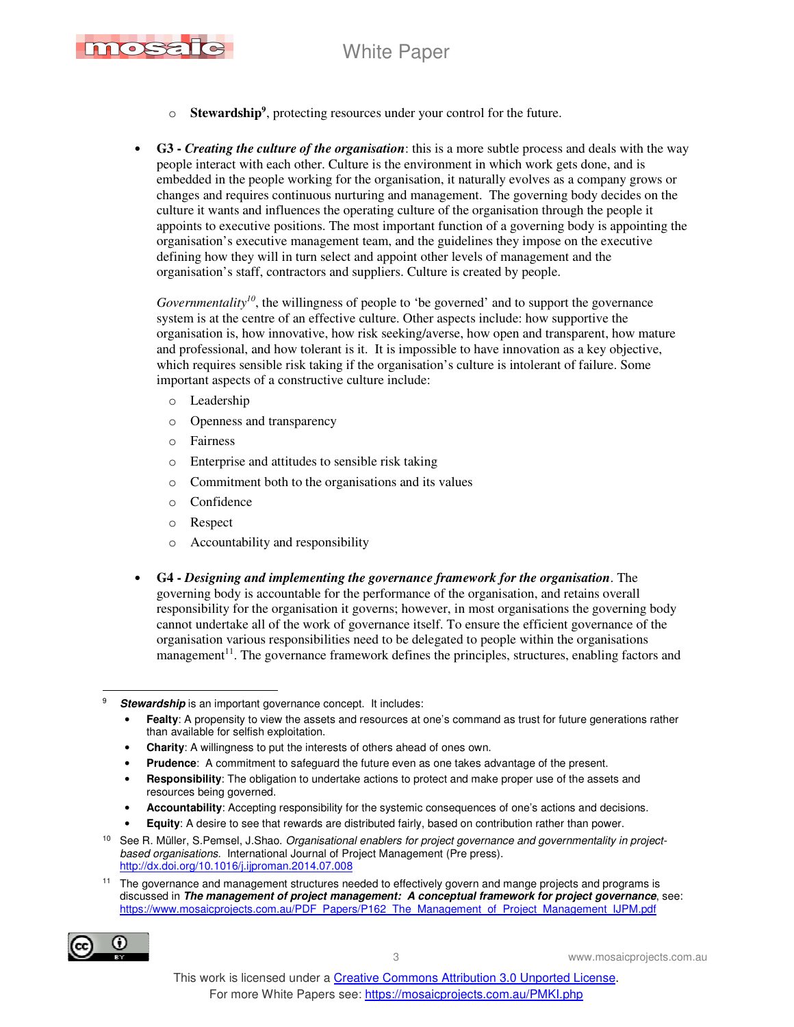



- o **Stewardship<sup>9</sup>** , protecting resources under your control for the future.
- **G3** *Creating the culture of the organisation*: this is a more subtle process and deals with the way people interact with each other. Culture is the environment in which work gets done, and is embedded in the people working for the organisation, it naturally evolves as a company grows or changes and requires continuous nurturing and management. The governing body decides on the culture it wants and influences the operating culture of the organisation through the people it appoints to executive positions. The most important function of a governing body is appointing the organisation's executive management team, and the guidelines they impose on the executive defining how they will in turn select and appoint other levels of management and the organisation's staff, contractors and suppliers. Culture is created by people.

*Governmentality<sup>10</sup>*, the willingness of people to 'be governed' and to support the governance system is at the centre of an effective culture. Other aspects include: how supportive the organisation is, how innovative, how risk seeking/averse, how open and transparent, how mature and professional, and how tolerant is it. It is impossible to have innovation as a key objective, which requires sensible risk taking if the organisation's culture is intolerant of failure. Some important aspects of a constructive culture include:

- o Leadership
- o Openness and transparency
- o Fairness
- o Enterprise and attitudes to sensible risk taking
- o Commitment both to the organisations and its values
- o Confidence
- o Respect
- o Accountability and responsibility
- **G4** *Designing and implementing the governance framework for the organisation*. The governing body is accountable for the performance of the organisation, and retains overall responsibility for the organisation it governs; however, in most organisations the governing body cannot undertake all of the work of governance itself. To ensure the efficient governance of the organisation various responsibilities need to be delegated to people within the organisations management $1<sup>11</sup>$ . The governance framework defines the principles, structures, enabling factors and

- **Fealty**: A propensity to view the assets and resources at one's command as trust for future generations rather than available for selfish exploitation.
- **Charity**: A willingness to put the interests of others ahead of ones own.
- **Prudence**: A commitment to safeguard the future even as one takes advantage of the present.
- **Responsibility**: The obligation to undertake actions to protect and make proper use of the assets and resources being governed.
- **Accountability**: Accepting responsibility for the systemic consequences of one's actions and decisions.
- **Equity:** A desire to see that rewards are distributed fairly, based on contribution rather than power.

The governance and management structures needed to effectively govern and mange projects and programs is discussed in **The management of project management: A conceptual framework for project governance**, see: https://www.mosaicprojects.com.au/PDF\_Papers/P162\_The\_Management\_of\_Project\_Management\_IJPM.pdf



 $\ddot{\phantom{a}}$ 9 **Stewardship** is an important governance concept. It includes:

See R. Müller, S.Pemsel, J.Shao. Organisational enablers for project governance and governmentality in projectbased organisations. International Journal of Project Management (Pre press). http://dx.doi.org/10.1016/j.ijproman.2014.07.008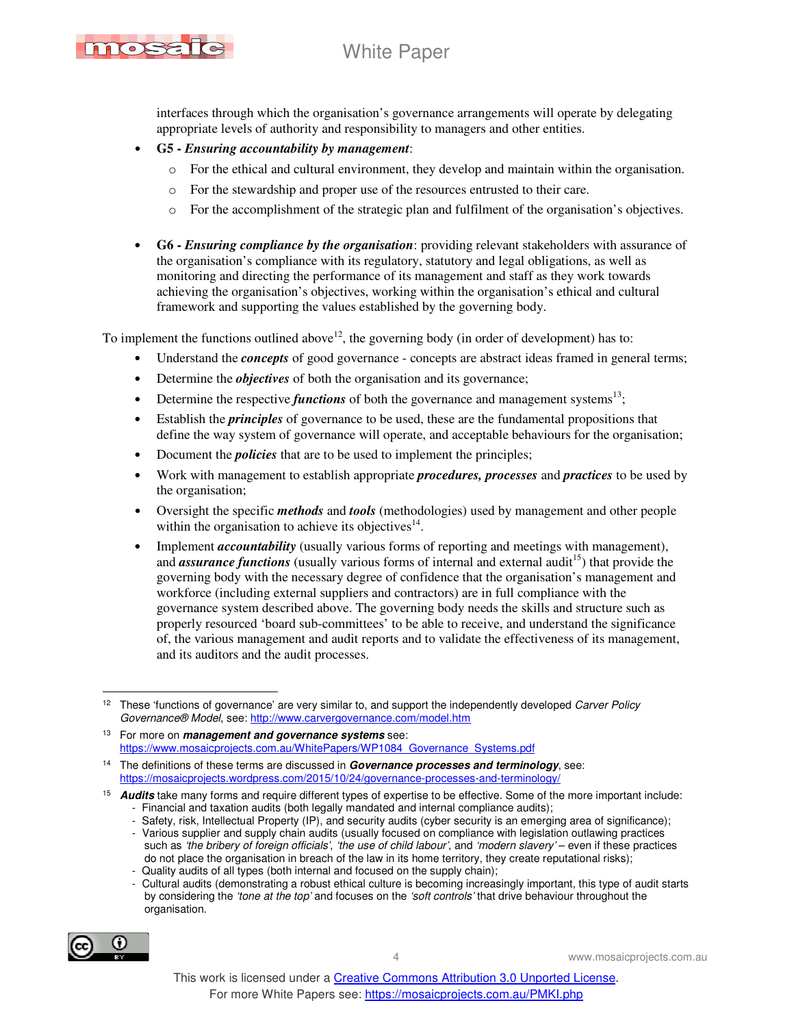## White Paper



interfaces through which the organisation's governance arrangements will operate by delegating appropriate levels of authority and responsibility to managers and other entities.

- **G5** *Ensuring accountability by management*:
	- o For the ethical and cultural environment, they develop and maintain within the organisation.
	- o For the stewardship and proper use of the resources entrusted to their care.
	- o For the accomplishment of the strategic plan and fulfilment of the organisation's objectives.
- **G6** *Ensuring compliance by the organisation*: providing relevant stakeholders with assurance of the organisation's compliance with its regulatory, statutory and legal obligations, as well as monitoring and directing the performance of its management and staff as they work towards achieving the organisation's objectives, working within the organisation's ethical and cultural framework and supporting the values established by the governing body.

To implement the functions outlined above<sup>12</sup>, the governing body (in order of development) has to:

- Understand the *concepts* of good governance concepts are abstract ideas framed in general terms;
- Determine the *objectives* of both the organisation and its governance;
- Determine the respective *functions* of both the governance and management systems<sup>13</sup>;
- Establish the *principles* of governance to be used, these are the fundamental propositions that define the way system of governance will operate, and acceptable behaviours for the organisation;
- Document the *policies* that are to be used to implement the principles;
- Work with management to establish appropriate *procedures, processes* and *practices* to be used by the organisation;
- Oversight the specific *methods* and *tools* (methodologies) used by management and other people within the organisation to achieve its objectives $14$ .
- Implement *accountability* (usually various forms of reporting and meetings with management), and *assurance functions* (usually various forms of internal and external audit<sup>15</sup>) that provide the governing body with the necessary degree of confidence that the organisation's management and workforce (including external suppliers and contractors) are in full compliance with the governance system described above. The governing body needs the skills and structure such as properly resourced 'board sub-committees' to be able to receive, and understand the significance of, the various management and audit reports and to validate the effectiveness of its management, and its auditors and the audit processes.

 <sup>-</sup> Cultural audits (demonstrating a robust ethical culture is becoming increasingly important, this type of audit starts by considering the 'tone at the top' and focuses on the 'soft controls' that drive behaviour throughout the organisation.



 $\ddot{\phantom{a}}$ <sup>12</sup> These 'functions of governance' are very similar to, and support the independently developed Carver Policy Governance® Model, see: http://www.carvergovernance.com/model.htm

<sup>13</sup> For more on **management and governance systems** see: https://www.mosaicprojects.com.au/WhitePapers/WP1084\_Governance\_Systems.pdf

<sup>14</sup> The definitions of these terms are discussed in **Governance processes and terminology**, see: https://mosaicprojects.wordpress.com/2015/10/24/governance-processes-and-terminology/

<sup>15</sup> **Audits** take many forms and require different types of expertise to be effective. Some of the more important include: - Financial and taxation audits (both legally mandated and internal compliance audits);

Safety, risk, Intellectual Property (IP), and security audits (cyber security is an emerging area of significance);

 <sup>-</sup> Various supplier and supply chain audits (usually focused on compliance with legislation outlawing practices such as 'the bribery of foreign officials', 'the use of child labour', and 'modern slavery' - even if these practices do not place the organisation in breach of the law in its home territory, they create reputational risks);

 <sup>-</sup> Quality audits of all types (both internal and focused on the supply chain);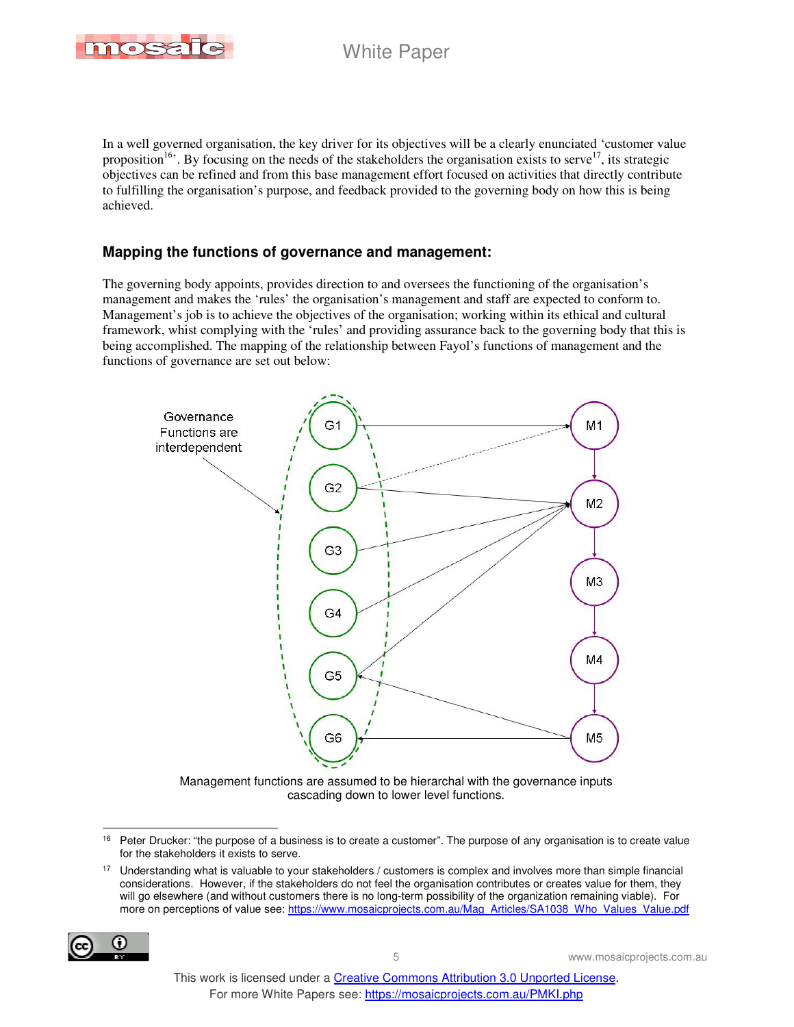

In a well governed organisation, the key driver for its objectives will be a clearly enunciated 'customer value proposition<sup>16</sup>. By focusing on the needs of the stakeholders the organisation exists to serve<sup>17</sup>, its strategic objectives can be refined and from this base management effort focused on activities that directly contribute to fulfilling the organisation's purpose, and feedback provided to the governing body on how this is being achieved.

#### **Mapping the functions of governance and management:**

The governing body appoints, provides direction to and oversees the functioning of the organisation's management and makes the 'rules' the organisation's management and staff are expected to conform to. Management's job is to achieve the objectives of the organisation; working within its ethical and cultural framework, whist complying with the 'rules' and providing assurance back to the governing body that this is being accomplished. The mapping of the relationship between Fayol's functions of management and the functions of governance are set out below:



Management functions are assumed to be hierarchal with the governance inputs cascading down to lower level functions.

<sup>&</sup>lt;sup>17</sup> Understanding what is valuable to your stakeholders / customers is complex and involves more than simple financial considerations. However, if the stakeholders do not feel the organisation contributes or creates value for them, they will go elsewhere (and without customers there is no long-term possibility of the organization remaining viable). For more on perceptions of value see: https://www.mosaicprojects.com.au/Mag\_Articles/SA1038\_Who\_Values\_Value.pdf



 $\overline{a}$ 

<sup>&</sup>lt;sup>16</sup> Peter Drucker: "the purpose of a business is to create a customer". The purpose of any organisation is to create value for the stakeholders it exists to serve.